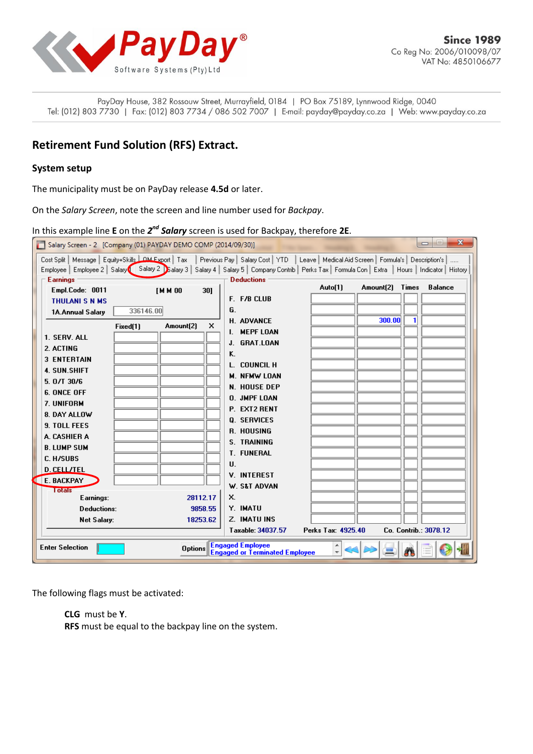

PayDay House, 382 Rossouw Street, Murrayfield, 0184 | PO Box 75189, Lynnwood Ridge, 0040 Tel: (012) 803 7730 | Fax: (012) 803 7734 / 086 502 7007 | E-mail: payday@payday.co.za | Web: www.payday.co.za

# **Retirement Fund Solution (RFS) Extract.**

## **System setup**

The municipality must be on PayDay release **4.5d** or later.

On the *Salary Screen*, note the screen and line number used for *Backpay*.

## In this example line **E** on the 2<sup>nd</sup> Salary screen is used for Backpay, therefore 2E.

| $\mathbf{x}$<br>$\boxed{\square}$<br>U<br>Salary Screen - 2 [Company (01) PAYDAY DEMO COMP (2014/09/30)]                                                                                                                                                                                                                |                     |                     |         |           |                                |  |
|-------------------------------------------------------------------------------------------------------------------------------------------------------------------------------------------------------------------------------------------------------------------------------------------------------------------------|---------------------|---------------------|---------|-----------|--------------------------------|--|
| Message   Equity+Skills   OM Export   Tax<br>  Leave   Medical Aid Screen   Formula's   Description's  <br>Previous Pay Salary Cost YTD<br>Cost Split  <br>Employee   Employee 2   Salary   Salary 2   Salary 3   Salary 4   Salary 5   Company Contrib   Perks Tax   Formula Con   Extra   Hours   Indicator   History |                     |                     |         |           |                                |  |
| <b>Earnings</b><br><b>Deductions</b>                                                                                                                                                                                                                                                                                    |                     |                     |         |           |                                |  |
| Empl.Code: 0011                                                                                                                                                                                                                                                                                                         | 301<br><b>IMM00</b> |                     | Auto[1] | Amount(2) | <b>Times</b><br><b>Balance</b> |  |
| <b>THULANI S N MS</b>                                                                                                                                                                                                                                                                                                   |                     | <b>F. F/B CLUB</b>  |         |           |                                |  |
| 1A.Annual Salary                                                                                                                                                                                                                                                                                                        | 336146.00           | G.                  |         |           |                                |  |
| Fixed(1)                                                                                                                                                                                                                                                                                                                | Amount(2)<br>x      | <b>H. ADVANCE</b>   |         | 300.00    | $\blacksquare$                 |  |
| 1. SERV. ALL                                                                                                                                                                                                                                                                                                            |                     | <b>MEPF LOAN</b>    |         |           |                                |  |
| 2. ACTING                                                                                                                                                                                                                                                                                                               |                     | J. GRAT.LOAN        |         |           |                                |  |
| <b>3 ENTERTAIN</b>                                                                                                                                                                                                                                                                                                      |                     | K.                  |         |           |                                |  |
| 4. SUN.SHIFT                                                                                                                                                                                                                                                                                                            |                     | L. COUNCIL H        |         |           |                                |  |
| 5.0/T 30/6                                                                                                                                                                                                                                                                                                              |                     | <b>M. NEMW LOAN</b> |         |           |                                |  |
| 6. ONCE OFF                                                                                                                                                                                                                                                                                                             |                     | <b>N. HOUSE DEP</b> |         |           |                                |  |
| 7. UNIFORM                                                                                                                                                                                                                                                                                                              |                     | <b>O. JMPF LOAN</b> |         |           |                                |  |
| 8. DAY ALLOW                                                                                                                                                                                                                                                                                                            |                     | <b>P. EXT2 RENT</b> |         |           |                                |  |
| 9. TOLL FEES                                                                                                                                                                                                                                                                                                            |                     | <b>Q. SERVICES</b>  |         |           |                                |  |
| A. CASHIER A                                                                                                                                                                                                                                                                                                            |                     | R. HOUSING          |         |           |                                |  |
| <b>B. LUMP SUM</b>                                                                                                                                                                                                                                                                                                      |                     | <b>S. TRAINING</b>  |         |           |                                |  |
| C. H/SUBS                                                                                                                                                                                                                                                                                                               |                     | <b>T. FUNERAL</b>   |         |           |                                |  |
| <b>D. CELL/TEL</b>                                                                                                                                                                                                                                                                                                      |                     | U.                  |         |           |                                |  |
|                                                                                                                                                                                                                                                                                                                         |                     | <b>V. INTEREST</b>  |         |           |                                |  |
| E. BACKPAY<br><b>Totals</b>                                                                                                                                                                                                                                                                                             |                     | W. S&T ADVAN        |         |           |                                |  |
| Earnings:                                                                                                                                                                                                                                                                                                               | 28112.17            | X.                  |         |           |                                |  |
| Deductions:                                                                                                                                                                                                                                                                                                             | 9858.55             | Y. IMATU            |         |           |                                |  |
| <b>Net Salary:</b>                                                                                                                                                                                                                                                                                                      | 18253.62            | Z. IMATU INS        |         |           |                                |  |
| Taxable: 34037.57<br>Perks Tax: 4925.40<br>Co. Contrib.: 3078.12                                                                                                                                                                                                                                                        |                     |                     |         |           |                                |  |
| <b>Engaged Employee</b><br><b>Enter Selection</b><br><b>Options</b><br><b>Engaged or Terminated Employee</b>                                                                                                                                                                                                            |                     |                     |         |           |                                |  |

The following flags must be activated:

**CLG** must be **Y**.

**RFS** must be equal to the backpay line on the system.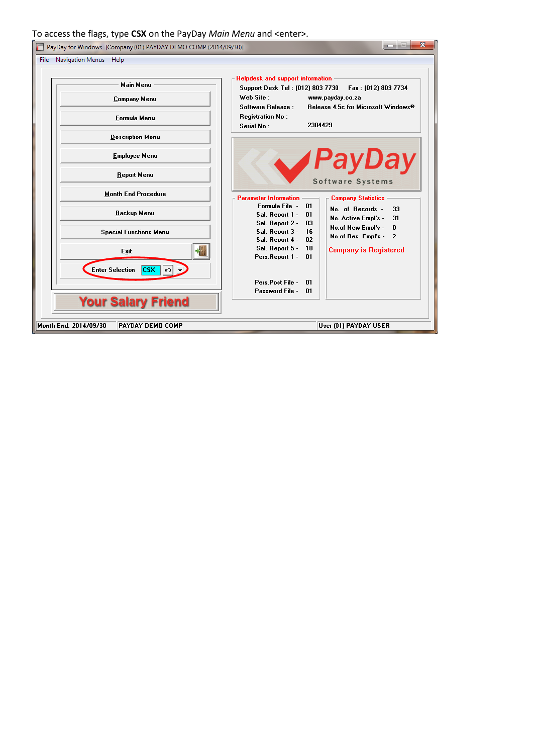| To access the flags, type CSX on the PayDay Main Menu and <enter>.</enter>                                                                                                    |                                                                                                                                                                                                                                                                                                                                                                                                                                                                             |  |  |  |
|-------------------------------------------------------------------------------------------------------------------------------------------------------------------------------|-----------------------------------------------------------------------------------------------------------------------------------------------------------------------------------------------------------------------------------------------------------------------------------------------------------------------------------------------------------------------------------------------------------------------------------------------------------------------------|--|--|--|
| $\mathbf{x}$<br>التاريب<br>PayDay for Windows [Company (01) PAYDAY DEMO COMP (2014/09/30)]                                                                                    |                                                                                                                                                                                                                                                                                                                                                                                                                                                                             |  |  |  |
| File<br>Navigation Menus Help                                                                                                                                                 |                                                                                                                                                                                                                                                                                                                                                                                                                                                                             |  |  |  |
| <b>Main Menu</b><br>Company Menu<br>Formula Menu<br><b>Description Menu</b><br><b>Employee Menu</b><br><b>Report Menu</b><br><b>Month End Procedure</b><br><b>Backup Menu</b> | <b>Helpdesk and support information</b><br>Support Desk Tel: (012) 803 7730<br>Fax : (012) 803 7734<br>Web Site:<br>www.payday.co.za<br>Software Release:<br>Release 4.5c for Microsoft Windows <sup>●</sup><br><b>Registration No:</b><br>2304429<br>Serial No:<br><b>PayDay</b><br>Software Systems<br><b>Parameter Information</b><br><b>Company Statistics</b><br>Formula File -<br>-01<br>No. of Records -<br>33<br>Sal. Report 1 -<br>01<br>No. Active Empl's -<br>31 |  |  |  |
| <b>Special Functions Menu</b>                                                                                                                                                 | Sal. Report 2 -<br>03<br>No.of New Empl's -<br>n<br>Sal. Report 3 -<br>16<br>No.of Res. Empl's -<br>$\overline{2}$<br>Sal. Report 4 -<br>02<br>Sal. Report 5 -<br>10<br><b>Company is Registered</b>                                                                                                                                                                                                                                                                        |  |  |  |
| ₩<br>Exit<br><b>Enter Selection</b><br><b>CSX</b><br>וכ⊾ا                                                                                                                     | Pers.Report 1 -<br>01<br>Pers.Post File -<br>01<br><b>Password File -</b><br>01                                                                                                                                                                                                                                                                                                                                                                                             |  |  |  |
| <b>Your Salary Friend</b>                                                                                                                                                     |                                                                                                                                                                                                                                                                                                                                                                                                                                                                             |  |  |  |
| Month End: 2014/09/30<br>PAYDAY DEMO COMP                                                                                                                                     | User [01] PAYDAY USER                                                                                                                                                                                                                                                                                                                                                                                                                                                       |  |  |  |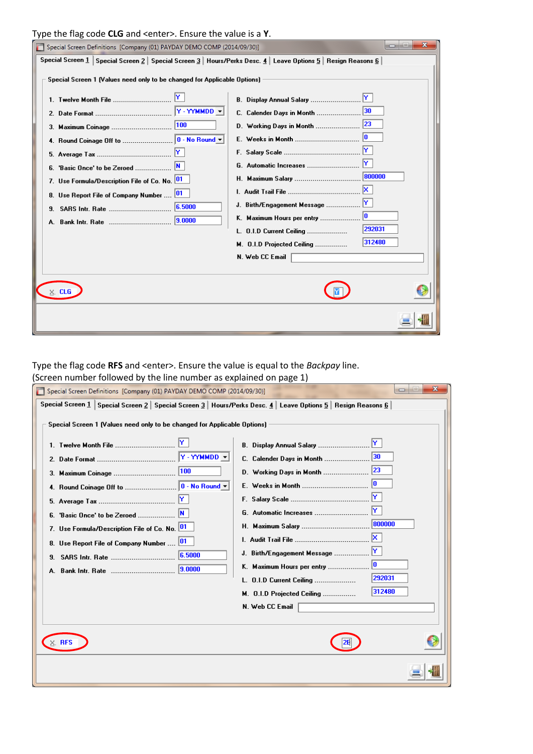### Type the flag code **CLG** and <enter>. Ensure the value is a **Y**.

| $\mathbf x$<br>Special Screen Definitions [Company (01) PAYDAY DEMO COMP (2014/09/30)]                            |                                                              |  |  |  |  |
|-------------------------------------------------------------------------------------------------------------------|--------------------------------------------------------------|--|--|--|--|
| Special Screen 1   Special Screen 2   Special Screen 3   Hours/Perks Desc. 4   Leave Options 5   Resign Reasons 6 |                                                              |  |  |  |  |
| Special Screen 1 (Values need only to be changed for Applicable Options)                                          |                                                              |  |  |  |  |
| Y-YYMMDD -                                                                                                        | ΙY.<br><b>B. Display Annual Salary </b><br>130               |  |  |  |  |
| 100<br>3. Maximum Coinage                                                                                         | C. Calender Days in Month<br>123<br>D. Working Days in Month |  |  |  |  |
|                                                                                                                   |                                                              |  |  |  |  |
| IY.                                                                                                               | l۷.                                                          |  |  |  |  |
| IN.<br>'Basic Once' to be Zeroed                                                                                  | l۷.<br>G. Automatic Increases                                |  |  |  |  |
| 7. Use Formula/Description File of Co. No. 01                                                                     | 1800000                                                      |  |  |  |  |
| 101<br>8. Use Report File of Company Number                                                                       | lx.                                                          |  |  |  |  |
| 6.5000<br>SARS Intr. Rate<br>9.                                                                                   | ΙY.<br>J. Birth/Engagement Message                           |  |  |  |  |
| 9.0000<br>Bank Intr. Rate<br>А.                                                                                   | 10<br>K. Maximum Hours per entry                             |  |  |  |  |
|                                                                                                                   | 292031<br>L. 0.1.D Current Ceiling                           |  |  |  |  |
|                                                                                                                   | 312480<br>M. 0.1.D Projected Ceiling                         |  |  |  |  |
|                                                                                                                   | N. Web CC Email                                              |  |  |  |  |
|                                                                                                                   |                                                              |  |  |  |  |
| $\times$ CLG                                                                                                      |                                                              |  |  |  |  |
|                                                                                                                   |                                                              |  |  |  |  |

Type the flag code RFS and <enter>. Ensure the value is equal to the *Backpay* line.

(Screen number followed by the line number as explained on page 1)

| Special Screen Definitions [Company (01) PAYDAY DEMO COMP (2014/09/30)]<br>$\Box$<br>25                                                                                                                                                                                                                                                    |                                                                                                                                                                                          |  |  |
|--------------------------------------------------------------------------------------------------------------------------------------------------------------------------------------------------------------------------------------------------------------------------------------------------------------------------------------------|------------------------------------------------------------------------------------------------------------------------------------------------------------------------------------------|--|--|
| Special Screen 1   Special Screen 2   Special Screen 3   Hours/Perks Desc. 4   Leave Options 5   Resign Reasons 6                                                                                                                                                                                                                          |                                                                                                                                                                                          |  |  |
| Special Screen 1 (Values need only to be changed for Applicable Options)<br>1. Twelve Month File<br>$ Y - YYMMDD -  $<br>1100<br>3. Maximum Coinage<br>IN.<br>6. 'Basic Once' to be Zeroed<br>7. Use Formula/Description File of Co. No. 01<br> 01<br>8. Use Report File of Company Number<br>6.5000<br>9.<br>9.0000<br>A. Bank Intr. Rate | 123<br>D. Working Days in Month<br>lo.<br>I۲.<br>G. Automatic Increases<br>1800000<br>H. Maximum Salary<br>lx.<br>10<br>K. Maximum Hours per entry<br>292031<br>L. 0.1.D Current Ceiling |  |  |
|                                                                                                                                                                                                                                                                                                                                            | 312480<br>M. 0.1.D Projected Ceiling                                                                                                                                                     |  |  |
|                                                                                                                                                                                                                                                                                                                                            | N. Web CC Email                                                                                                                                                                          |  |  |
|                                                                                                                                                                                                                                                                                                                                            |                                                                                                                                                                                          |  |  |
|                                                                                                                                                                                                                                                                                                                                            |                                                                                                                                                                                          |  |  |
|                                                                                                                                                                                                                                                                                                                                            |                                                                                                                                                                                          |  |  |

P.